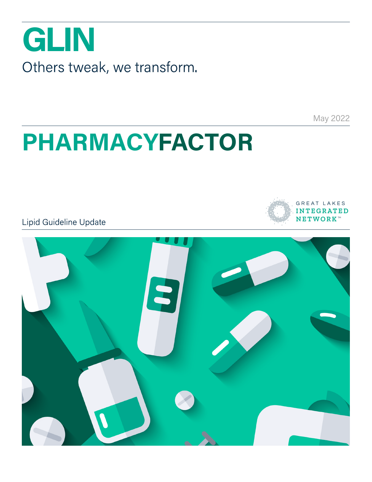

May 2022

GREAT LAKES **INTEGRATED NETWORK**<sup>\*\*</sup>

## **PHARMACYFACTOR**

Lipid Guideline Update

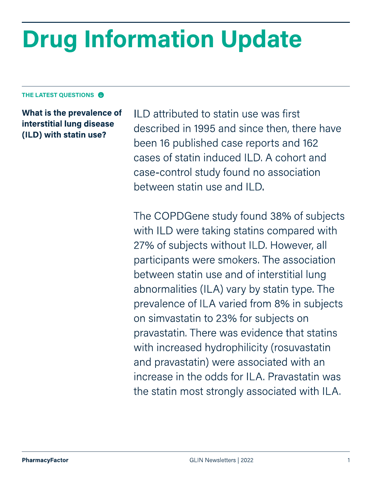# **Drug Information Update**

#### **THE LATEST QUESTIONS**

**What is the prevalence of interstitial lung disease (ILD) with statin use?** 

ILD attributed to statin use was first described in 1995 and since then, there have been 16 published case reports and 162 cases of statin induced ILD. A cohort and case-control study found no association between statin use and ILD.

The COPDGene study found 38% of subjects with ILD were taking statins compared with 27% of subjects without ILD. However, all participants were smokers. The association between statin use and of interstitial lung abnormalities (ILA) vary by statin type. The prevalence of ILA varied from 8% in subjects on simvastatin to 23% for subjects on pravastatin. There was evidence that statins with increased hydrophilicity (rosuvastatin and pravastatin) were associated with an increase in the odds for ILA. Pravastatin was the statin most strongly associated with ILA.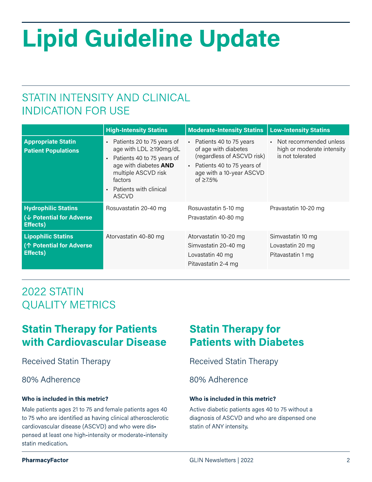# **Lipid Guideline Update**

## STATIN INTENSITY AND CLINICAL INDICATION FOR USE

|                                                                            | <b>High-Intensity Statins</b>                                                                                                                                                                                                          | <b>Moderate-Intensity Statins</b>                                                                                                                                              | <b>Low-Intensity Statins</b>                                               |
|----------------------------------------------------------------------------|----------------------------------------------------------------------------------------------------------------------------------------------------------------------------------------------------------------------------------------|--------------------------------------------------------------------------------------------------------------------------------------------------------------------------------|----------------------------------------------------------------------------|
| <b>Appropriate Statin</b><br><b>Patient Populations</b>                    | Patients 20 to 75 years of<br>$\blacksquare$<br>age with LDL ≥190mg/dL<br>Patients 40 to 75 years of<br>$\blacksquare$<br>age with diabetes AND<br>multiple ASCVD risk<br>factors<br>Patients with clinical<br>$\blacksquare$<br>ASCVD | • Patients 40 to 75 years<br>of age with diabetes<br>(regardless of ASCVD risk)<br>Patients 40 to 75 years of<br>$\mathbf{r}$ .<br>age with a 10-year ASCVD<br>of $\geq 7.5\%$ | • Not recommended unless<br>high or moderate intensity<br>is not tolerated |
| <b>Hydrophilic Statins</b><br>(↓ Potential for Adverse<br><b>Effects</b> ) | Rosuvastatin 20-40 mg                                                                                                                                                                                                                  | Rosuvastatin 5-10 mg<br>Pravastatin 40-80 mg                                                                                                                                   | Pravastatin 10-20 mg                                                       |
| <b>Lipophilic Statins</b><br>(个 Potential for Adverse<br><b>Effects</b> )  | Atorvastatin 40-80 mg                                                                                                                                                                                                                  | Atorvastatin 10-20 mg<br>Simvastatin 20-40 mg<br>Lovastatin 40 mg<br>Pitavastatin 2-4 mg                                                                                       | Simvastatin 10 mg<br>Lovastatin 20 mg<br>Pitavastatin 1 mg                 |

## 2022 STATIN QUALITY METRICS

## **Statin Therapy for Patients with Cardiovascular Disease**

Male patients ages 21 to 75 and female patients ages 40 to 75 who are identified as having clinical atherosclerotic cardiovascular disease (ASCVD) and who were dispensed at least one high-intensity or moderate-intensity statin medication.

## **Statin Therapy for Patients with Diabetes**

Received Statin Therapy Received Statin Therapy

### 80% Adherence 80% Adherence

### **Who is included in this metric? Who is included in this metric?**

Active diabetic patients ages 40 to 75 without a diagnosis of ASCVD and who are dispensed one statin of ANY intensity.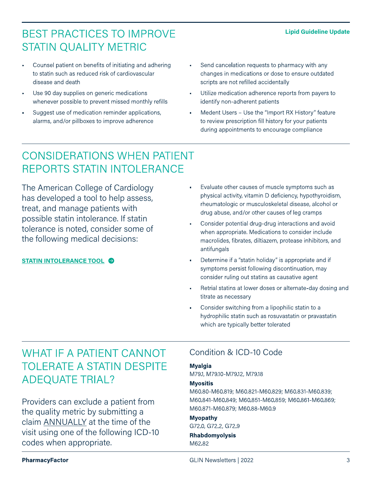#### **Lipid Guideline Update**

## BEST PRACTICES TO IMPROVE STATIN QUALITY METRIC

- Counsel patient on benefits of initiating and adhering to statin such as reduced risk of cardiovascular disease and death
- Use 90 day supplies on generic medications whenever possible to prevent missed monthly refills
- Suggest use of medication reminder applications, alarms, and/or pillboxes to improve adherence
- Send cancelation requests to pharmacy with any changes in medications or dose to ensure outdated scripts are not refilled accidentally
- Utilize medication adherence reports from payers to identify non-adherent patients
- Medent Users Use the "Import RX History" feature to review prescription fill history for your patients during appointments to encourage compliance

## CONSIDERATIONS WHEN PATIENT REPORTS STATIN INTOLERANCE

The American College of Cardiology has developed a tool to help assess, treat, and manage patients with possible statin intolerance. If statin tolerance is noted, consider some of the following medical decisions:

#### **[STATIN INTOLERANCE TOOL](https://tools.acc.org/StatinIntolerance/?_ga=2.225919762.90620852.1643826945-424774723.1642100223#!/)**

- Evaluate other causes of muscle symptoms such as physical activity, vitamin D deficiency, hypothyroidism, rheumatologic or musculoskeletal disease, alcohol or drug abuse, and/or other causes of leg cramps
- Consider potential drug-drug interactions and avoid when appropriate. Medications to consider include macrolides, fibrates, diltiazem, protease inhibitors, and antifungals
- Determine if a "statin holiday" is appropriate and if symptoms persist following discontinuation, may consider ruling out statins as causative agent
- Retrial statins at lower doses or alternate-day dosing and titrate as necessary
- Consider switching from a lipophilic statin to a hydrophilic statin such as rosuvastatin or pravastatin which are typically better tolerated

## WHAT IF A PATIENT CANNOT TOLERATE A STATIN DESPITE ADEQUATE TRIAL?

Providers can exclude a patient from the quality metric by submitting a claim ANNUALLY at the time of the visit using one of the following ICD-10 codes when appropriate.

### Condition & ICD-10 Code

#### **Myalgia**

M79.1, M79.10-M79.12, M79.18

#### **Myositis**

M60.80-M60.819; M60.821-M60.829; M60.831-M60.839; M60.841-M60.849; M60.851-M60.859; M60.861-M60.869; M60.871-M60.879; M60.88-M60.9

#### **Myopathy**

G72.0, G72.2, G72.9

#### **Rhabdomyolysis** M62.82